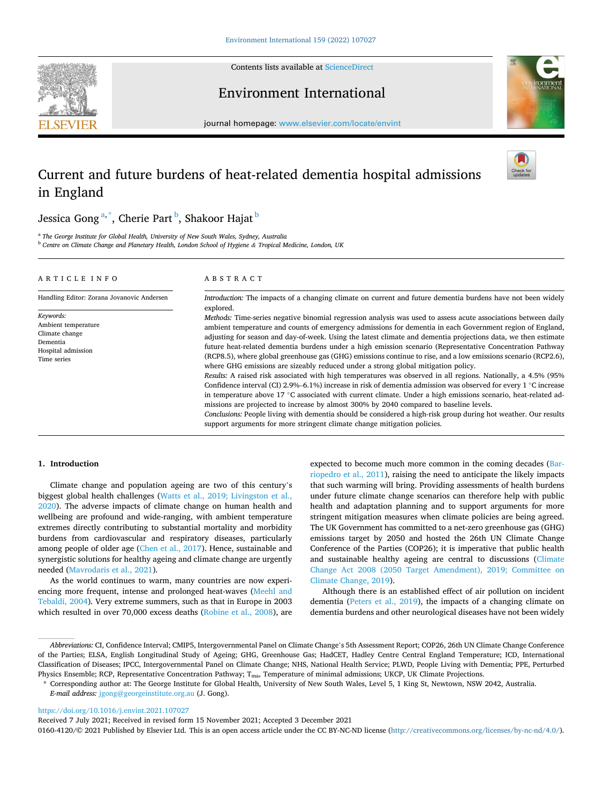Contents lists available at [ScienceDirect](www.sciencedirect.com/science/journal/01604120)







journal homepage: [www.elsevier.com/locate/envint](https://www.elsevier.com/locate/envint)

# Current and future burdens of heat-related dementia hospital admissions in England



Jessica Gong<sup>a,\*</sup>, Cherie Part <sup>b</sup>, Shakoor Hajat <sup>b</sup>

<sup>a</sup> *The George Institute for Global Health, University of New South Wales, Sydney, Australia* <sup>b</sup> *Centre on Climate Change and Planetary Health, London School of Hygiene & Tropical Medicine, London, UK* 

## ARTICLE INFO

*Keywords:*  Ambient temperature Climate change Dementia Hospital admission Time series

Handling Editor: Zorana Jovanovic Andersen

# ABSTRACT

*Introduction:* The impacts of a changing climate on current and future dementia burdens have not been widely explored.

*Methods:* Time-series negative binomial regression analysis was used to assess acute associations between daily ambient temperature and counts of emergency admissions for dementia in each Government region of England, adjusting for season and day-of-week. Using the latest climate and dementia projections data, we then estimate future heat-related dementia burdens under a high emission scenario (Representative Concentration Pathway (RCP8.5), where global greenhouse gas (GHG) emissions continue to rise, and a low emissions scenario (RCP2.6), where GHG emissions are sizeably reduced under a strong global mitigation policy.

*Results:* A raised risk associated with high temperatures was observed in all regions. Nationally, a 4.5% (95% Confidence interval (CI) 2.9%–6.1%) increase in risk of dementia admission was observed for every 1 ◦C increase in temperature above 17 ◦C associated with current climate. Under a high emissions scenario, heat-related admissions are projected to increase by almost 300% by 2040 compared to baseline levels.

*Conclusions:* People living with dementia should be considered a high-risk group during hot weather. Our results support arguments for more stringent climate change mitigation policies.

# **1. Introduction**

Climate change and population ageing are two of this century's biggest global health challenges [\(Watts et al., 2019; Livingston et al.,](#page-6-0)  [2020\)](#page-6-0). The adverse impacts of climate change on human health and wellbeing are profound and wide-ranging, with ambient temperature extremes directly contributing to substantial mortality and morbidity burdens from cardiovascular and respiratory diseases, particularly among people of older age [\(Chen et al., 2017](#page-5-0)). Hence, sustainable and synergistic solutions for healthy ageing and climate change are urgently needed [\(Mavrodaris et al., 2021\)](#page-6-0).

As the world continues to warm, many countries are now experiencing more frequent, intense and prolonged heat-waves ([Meehl and](#page-6-0)  [Tebaldi, 2004\)](#page-6-0). Very extreme summers, such as that in Europe in 2003 which resulted in over 70,000 excess deaths [\(Robine et al., 2008\)](#page-6-0), are expected to become much more common in the coming decades [\(Bar](#page-5-0)[riopedro et al., 2011\)](#page-5-0), raising the need to anticipate the likely impacts that such warming will bring. Providing assessments of health burdens under future climate change scenarios can therefore help with public health and adaptation planning and to support arguments for more stringent mitigation measures when climate policies are being agreed. The UK Government has committed to a net-zero greenhouse gas (GHG) emissions target by 2050 and hosted the 26th UN Climate Change Conference of the Parties (COP26); it is imperative that public health and sustainable healthy ageing are central to discussions [\(Climate](#page-5-0)  [Change Act 2008 \(2050 Target Amendment\), 2019; Committee on](#page-5-0)  [Climate Change, 2019](#page-5-0)).

Although there is an established effect of air pollution on incident dementia ([Peters et al., 2019\)](#page-6-0), the impacts of a changing climate on dementia burdens and other neurological diseases have not been widely

<https://doi.org/10.1016/j.envint.2021.107027>

Received 7 July 2021; Received in revised form 15 November 2021; Accepted 3 December 2021

0160-4120/© 2021 Published by Elsevier Ltd. This is an open access article under the CC BY-NC-ND license [\(http://creativecommons.org/licenses/by-nc-nd/4.0/\)](http://creativecommons.org/licenses/by-nc-nd/4.0/).

*Abbreviations:* CI, Confidence Interval; CMIP5, Intergovernmental Panel on Climate Change's 5th Assessment Report; COP26, 26th UN Climate Change Conference of the Parties; ELSA, English Longitudinal Study of Ageing; GHG, Greenhouse Gas; HadCET, Hadley Centre Central England Temperature; ICD, International Classification of Diseases; IPCC, Intergovernmental Panel on Climate Change; NHS, National Health Service; PLWD, People Living with Dementia; PPE, Perturbed Physics Ensemble; RCP, Representative Concentration Pathway; T<sub>ma</sub>, Temperature of minimal admissions; UKCP, UK Climate Projections.

<sup>\*</sup> Corresponding author at: The George Institute for Global Health, University of New South Wales, Level 5, 1 King St, Newtown, NSW 2042, Australia. *E-mail address:* [jgong@georgeinstitute.org.au](mailto:jgong@georgeinstitute.org.au) (J. Gong).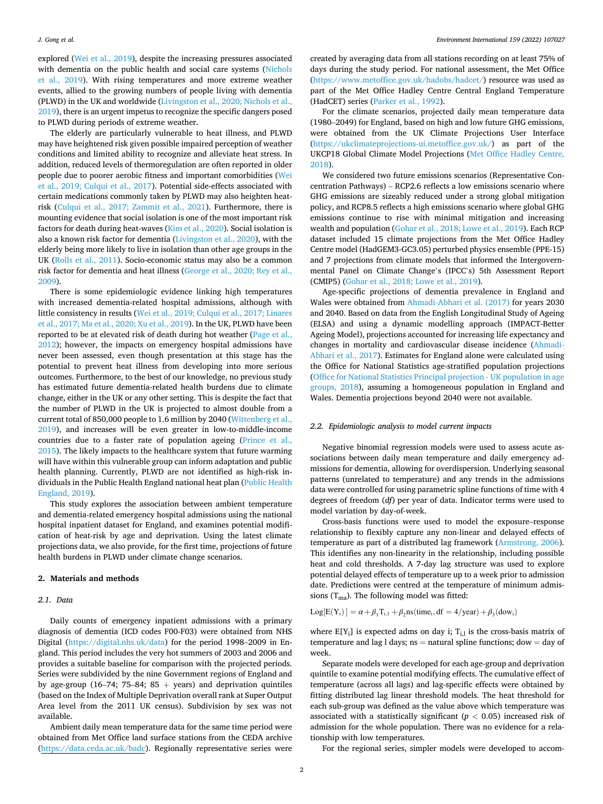<span id="page-1-0"></span>explored ([Wei et al., 2019](#page-6-0)), despite the increasing pressures associated with dementia on the public health and social care systems [\(Nichols](#page-6-0)  [et al., 2019\)](#page-6-0). With rising temperatures and more extreme weather events, allied to the growing numbers of people living with dementia (PLWD) in the UK and worldwide [\(Livingston et al., 2020; Nichols et al.,](#page-6-0)  [2019\)](#page-6-0), there is an urgent impetus to recognize the specific dangers posed to PLWD during periods of extreme weather.

The elderly are particularly vulnerable to heat illness, and PLWD may have heightened risk given possible impaired perception of weather conditions and limited ability to recognize and alleviate heat stress. In addition, reduced levels of thermoregulation are often reported in older people due to poorer aerobic fitness and important comorbidities ([Wei](#page-6-0)  [et al., 2019; Culqui et al., 2017\)](#page-6-0). Potential side-effects associated with certain medications commonly taken by PLWD may also heighten heatrisk ([Culqui et al., 2017; Zammit et al., 2021](#page-5-0)). Furthermore, there is mounting evidence that social isolation is one of the most important risk factors for death during heat-waves ([Kim et al., 2020](#page-6-0)). Social isolation is also a known risk factor for dementia ([Livingston et al., 2020](#page-6-0)), with the elderly being more likely to live in isolation than other age groups in the UK [\(Rolls et al., 2011\)](#page-6-0). Socio-economic status may also be a common risk factor for dementia and heat illness [\(George et al., 2020; Rey et al.,](#page-5-0)  [2009\)](#page-5-0).

There is some epidemiologic evidence linking high temperatures with increased dementia-related hospital admissions, although with little consistency in results [\(Wei et al., 2019; Culqui et al., 2017; Linares](#page-6-0)  [et al., 2017; Ma et al., 2020; Xu et al., 2019](#page-6-0)). In the UK, PLWD have been reported to be at elevated risk of death during hot weather ([Page et al.,](#page-6-0)  [2012\)](#page-6-0); however, the impacts on emergency hospital admissions have never been assessed, even though presentation at this stage has the potential to prevent heat illness from developing into more serious outcomes. Furthermore, to the best of our knowledge, no previous study has estimated future dementia-related health burdens due to climate change, either in the UK or any other setting. This is despite the fact that the number of PLWD in the UK is projected to almost double from a current total of 850,000 people to 1.6 million by 2040 ([Wittenberg et al.,](#page-6-0)  [2019\)](#page-6-0), and increases will be even greater in low-to-middle-income countries due to a faster rate of population ageing ([Prince et al.,](#page-6-0)  [2015\)](#page-6-0). The likely impacts to the healthcare system that future warming will have within this vulnerable group can inform adaptation and public health planning. Currently, PLWD are not identified as high-risk individuals in the Public Health England national heat plan [\(Public Health](#page-6-0)  [England, 2019\)](#page-6-0).

This study explores the association between ambient temperature and dementia-related emergency hospital admissions using the national hospital inpatient dataset for England, and examines potential modification of heat-risk by age and deprivation. Using the latest climate projections data, we also provide, for the first time, projections of future health burdens in PLWD under climate change scenarios.

## **2. Materials and methods**

# *2.1. Data*

Daily counts of emergency inpatient admissions with a primary diagnosis of dementia (ICD codes F00-F03) were obtained from NHS Digital ([https://digital.nhs.uk/data\)](https://digital.nhs.uk/data) for the period 1998–2009 in England. This period includes the very hot summers of 2003 and 2006 and provides a suitable baseline for comparison with the projected periods. Series were subdivided by the nine Government regions of England and by age-group (16-74; 75-84; 85 + years) and deprivation quintiles (based on the Index of Multiple Deprivation overall rank at Super Output Area level from the 2011 UK census). Subdivision by sex was not available.

Ambient daily mean temperature data for the same time period were obtained from Met Office land surface stations from the CEDA archive ([https://data.ceda.ac.uk/badc\)](https://data.ceda.ac.uk/badc). Regionally representative series were

created by averaging data from all stations recording on at least 75% of days during the study period. For national assessment, the Met Office (<https://www.metoffice.gov.uk/hadobs/hadcet/>) resource was used as part of the Met Office Hadley Centre Central England Temperature (HadCET) series ([Parker et al., 1992\)](#page-6-0).

For the climate scenarios, projected daily mean temperature data (1980–2049) for England, based on high and low future GHG emissions, were obtained from the UK Climate Projections User Interface ([https://ukclimateprojections-ui.metoffice.gov.uk/\)](https://ukclimateprojections-ui.metoffice.gov.uk/) as part of the UKCP18 Global Climate Model Projections [\(Met Office Hadley Centre,](#page-6-0)  [2018\)](#page-6-0).

We considered two future emissions scenarios (Representative Concentration Pathways) – RCP2.6 reflects a low emissions scenario where GHG emissions are sizeably reduced under a strong global mitigation policy, and RCP8.5 reflects a high emissions scenario where global GHG emissions continue to rise with minimal mitigation and increasing wealth and population [\(Gohar et al., 2018; Lowe et al., 2019\)](#page-5-0). Each RCP dataset included 15 climate projections from the Met Office Hadley Centre model (HadGEM3-GC3.05) perturbed physics ensemble (PPE-15) and 7 projections from climate models that informed the Intergovernmental Panel on Climate Change's (IPCC's) 5th Assessment Report (CMIP5) ([Gohar et al., 2018; Lowe et al., 2019\)](#page-5-0).

Age-specific projections of dementia prevalence in England and Wales were obtained from [Ahmadi-Abhari et al. \(2017\)](#page-5-0) for years 2030 and 2040. Based on data from the English Longitudinal Study of Ageing (ELSA) and using a dynamic modelling approach (IMPACT-Better Ageing Model), projections accounted for increasing life expectancy and changes in mortality and cardiovascular disease incidence [\(Ahmadi-](#page-5-0)[Abhari et al., 2017\)](#page-5-0). Estimates for England alone were calculated using the Office for National Statistics age-stratified population projections ([Office for National Statistics Principal projection - UK population in age](#page-6-0)  [groups, 2018](#page-6-0)), assuming a homogeneous population in England and Wales. Dementia projections beyond 2040 were not available.

# *2.2. Epidemiologic analysis to model current impacts*

Negative binomial regression models were used to assess acute associations between daily mean temperature and daily emergency admissions for dementia, allowing for overdispersion. Underlying seasonal patterns (unrelated to temperature) and any trends in the admissions data were controlled for using parametric spline functions of time with 4 degrees of freedom (*df*) per year of data. Indicator terms were used to model variation by day-of-week.

Cross-basis functions were used to model the exposure–response relationship to flexibly capture any non-linear and delayed effects of temperature as part of a distributed lag framework [\(Armstrong, 2006](#page-5-0)). This identifies any non-linearity in the relationship, including possible heat and cold thresholds. A 7-day lag structure was used to explore potential delayed effects of temperature up to a week prior to admission date. Predictions were centred at the temperature of minimum admissions  $(T_{ma})$ . The following model was fitted:

 $Log[E(Y_i)] = \alpha + \beta_1 T_{i,1} + \beta_2$ ns(time<sub>i</sub>, df = 4/year) +  $\beta_3$ (dow<sub>i</sub>)

where  $E[Y_i]$  is expected adms on day i;  $T_{i,l}$  is the cross-basis matrix of temperature and lag l days;  $ns =$  natural spline functions;  $dow = day$  of week.

Separate models were developed for each age-group and deprivation quintile to examine potential modifying effects. The cumulative effect of temperature (across all lags) and lag-specific effects were obtained by fitting distributed lag linear threshold models. The heat threshold for each sub-group was defined as the value above which temperature was associated with a statistically significant ( $p < 0.05$ ) increased risk of admission for the whole population. There was no evidence for a relationship with low temperatures.

For the regional series, simpler models were developed to accom-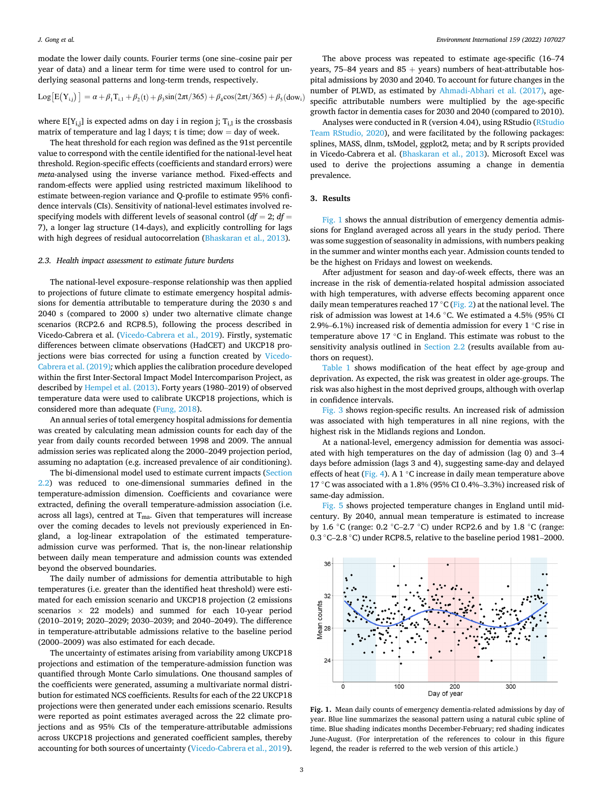modate the lower daily counts. Fourier terms (one sine–cosine pair per year of data) and a linear term for time were used to control for underlying seasonal patterns and long-term trends, respectively.

$$
Log[E(Y_{i,j})] = \alpha + \beta_1 T_{i,1} + \beta_2(t) + \beta_3 sin(2\pi t/365) + \beta_4 cos(2\pi t/365) + \beta_5 (down_i)
$$

where  $E[Y_{i,j}]$  is expected adms on day i in region j;  $T_{i,j}$  is the crossbasis matrix of temperature and lag l days; t is time;  $d$ ow = day of week.

The heat threshold for each region was defined as the 91st percentile value to correspond with the centile identified for the national-level heat threshold. Region-specific effects (coefficients and standard errors) were *meta*-analysed using the inverse variance method. Fixed-effects and random-effects were applied using restricted maximum likelihood to estimate between-region variance and Q-profile to estimate 95% confidence intervals (CIs). Sensitivity of national-level estimates involved respecifying models with different levels of seasonal control  $(df = 2; df = 1)$ 7), a longer lag structure (14-days), and explicitly controlling for lags with high degrees of residual autocorrelation ([Bhaskaran et al., 2013\)](#page-5-0).

# *2.3. Health impact assessment to estimate future burdens*

The national-level exposure–response relationship was then applied to projections of future climate to estimate emergency hospital admissions for dementia attributable to temperature during the 2030 s and 2040 s (compared to 2000 s) under two alternative climate change scenarios (RCP2.6 and RCP8.5), following the process described in Vicedo-Cabrera et al. [\(Vicedo-Cabrera et al., 2019\)](#page-6-0). Firstly, systematic differences between climate observations (HadCET) and UKCP18 projections were bias corrected for using a function created by [Vicedo-](#page-6-0)[Cabrera et al. \(2019\)](#page-6-0)*;* which applies the calibration procedure developed within the first Inter-Sectoral Impact Model Intercomparison Project, as described by [Hempel et al. \(2013\).](#page-6-0) Forty years (1980–2019) of observed temperature data were used to calibrate UKCP18 projections, which is considered more than adequate [\(Fung, 2018](#page-5-0)).

An annual series of total emergency hospital admissions for dementia was created by calculating mean admission counts for each day of the year from daily counts recorded between 1998 and 2009. The annual admission series was replicated along the 2000–2049 projection period, assuming no adaptation (e.g. increased prevalence of air conditioning).

The bi-dimensional model used to estimate current impacts ([Section](#page-1-0)  [2.2\)](#page-1-0) was reduced to one-dimensional summaries defined in the temperature-admission dimension. Coefficients and covariance were extracted, defining the overall temperature-admission association (i.e. across all lags), centred at  $T_{ma}$ . Given that temperatures will increase over the coming decades to levels not previously experienced in England, a log-linear extrapolation of the estimated temperatureadmission curve was performed. That is, the non-linear relationship between daily mean temperature and admission counts was extended beyond the observed boundaries.

The daily number of admissions for dementia attributable to high temperatures (i.e. greater than the identified heat threshold) were estimated for each emission scenario and UKCP18 projection (2 emissions scenarios  $\times$  22 models) and summed for each 10-year period (2010–2019; 2020–2029; 2030–2039; and 2040–2049). The difference in temperature-attributable admissions relative to the baseline period (2000–2009) was also estimated for each decade.

The uncertainty of estimates arising from variability among UKCP18 projections and estimation of the temperature-admission function was quantified through Monte Carlo simulations. One thousand samples of the coefficients were generated, assuming a multivariate normal distribution for estimated NCS coefficients. Results for each of the 22 UKCP18 projections were then generated under each emissions scenario. Results were reported as point estimates averaged across the 22 climate projections and as 95% CIs of the temperature-attributable admissions across UKCP18 projections and generated coefficient samples, thereby accounting for both sources of uncertainty ([Vicedo-Cabrera et al., 2019](#page-6-0)).

The above process was repeated to estimate age-specific (16–74 years, 75–84 years and  $85 +$  years) numbers of heat-attributable hospital admissions by 2030 and 2040. To account for future changes in the number of PLWD, as estimated by [Ahmadi-Abhari et al. \(2017\),](#page-5-0) agespecific attributable numbers were multiplied by the age-specific growth factor in dementia cases for 2030 and 2040 (compared to 2010).

Analyses were conducted in R (version 4.04), using RStudio ([RStudio](#page-6-0)  [Team RStudio, 2020\)](#page-6-0), and were facilitated by the following packages: splines, MASS, dlnm, tsModel, ggplot2*,* meta; and by R scripts provided in Vicedo-Cabrera et al. ([Bhaskaran et al., 2013](#page-5-0)). Microsoft Excel was used to derive the projections assuming a change in dementia prevalence.

# **3. Results**

Fig. 1 shows the annual distribution of emergency dementia admissions for England averaged across all years in the study period. There was some suggestion of seasonality in admissions, with numbers peaking in the summer and winter months each year. Admission counts tended to be the highest on Fridays and lowest on weekends.

After adjustment for season and day-of-week effects, there was an increase in the risk of dementia-related hospital admission associated with high temperatures, with adverse effects becoming apparent once daily mean temperatures reached 17 °C ([Fig. 2](#page-3-0)) at the national level. The risk of admission was lowest at 14.6 ◦C. We estimated a 4.5% (95% CI 2.9%–6.1%) increased risk of dementia admission for every 1 ◦C rise in temperature above 17 ℃ in England. This estimate was robust to the sensitivity analysis outlined in [Section 2.2](#page-1-0) (results available from authors on request).

[Table 1](#page-3-0) shows modification of the heat effect by age-group and deprivation. As expected, the risk was greatest in older age-groups. The risk was also highest in the most deprived groups, although with overlap in confidence intervals.

[Fig. 3](#page-3-0) shows region-specific results. An increased risk of admission was associated with high temperatures in all nine regions, with the highest risk in the Midlands regions and London.

At a national-level, emergency admission for dementia was associated with high temperatures on the day of admission (lag 0) and 3–4 days before admission (lags 3 and 4), suggesting same-day and delayed effects of heat [\(Fig. 4\)](#page-3-0). A 1  $\degree$ C increase in daily mean temperature above 17 ◦C was associated with a 1.8% (95% CI 0.4%–3.3%) increased risk of same-day admission.

[Fig. 5](#page-3-0) shows projected temperature changes in England until midcentury. By 2040, annual mean temperature is estimated to increase by 1.6 ◦C (range: 0.2 ◦C–2.7 ◦C) under RCP2.6 and by 1.8 ◦C (range: 0.3 ◦C–2.8 ◦C) under RCP8.5, relative to the baseline period 1981–2000.



**Fig. 1.** Mean daily counts of emergency dementia-related admissions by day of year. Blue line summarizes the seasonal pattern using a natural cubic spline of time. Blue shading indicates months December-February; red shading indicates June-August. (For interpretation of the references to colour in this figure legend, the reader is referred to the web version of this article.)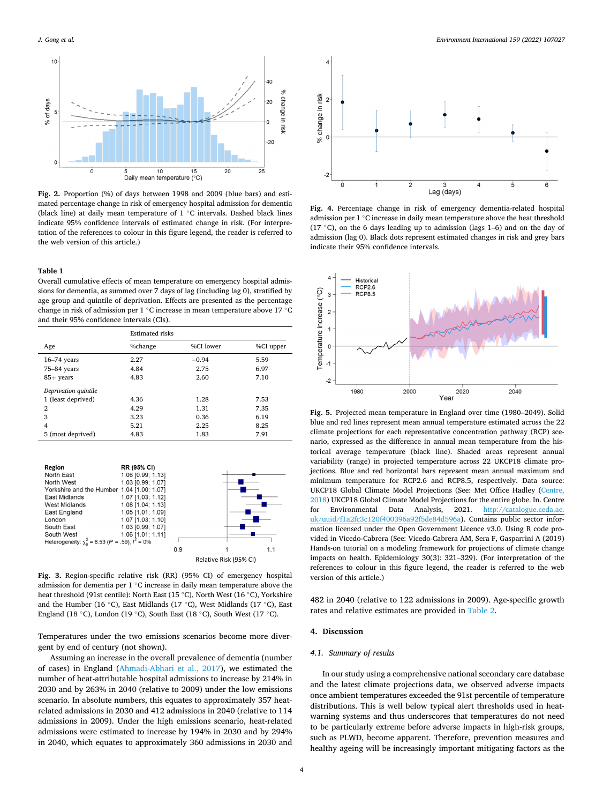<span id="page-3-0"></span>

**Fig. 2.** Proportion (%) of days between 1998 and 2009 (blue bars) and estimated percentage change in risk of emergency hospital admission for dementia (black line) at daily mean temperature of 1 ◦C intervals. Dashed black lines indicate 95% confidence intervals of estimated change in risk. (For interpretation of the references to colour in this figure legend, the reader is referred to the web version of this article.)

# **Table 1**

Overall cumulative effects of mean temperature on emergency hospital admissions for dementia, as summed over 7 days of lag (including lag 0), stratified by age group and quintile of deprivation. Effects are presented as the percentage change in risk of admission per 1 ◦C increase in mean temperature above 17 ◦C and their 95% confidence intervals (CIs).

|                      | <b>Estimated risks</b> |           |           |  |  |
|----------------------|------------------------|-----------|-----------|--|--|
| Age                  | %change                | %CI lower | %CI upper |  |  |
| $16-74$ years        | 2.27                   | $-0.94$   | 5.59      |  |  |
| 75-84 years          | 4.84                   | 2.75      | 6.97      |  |  |
| $85+$ years          | 4.83                   | 2.60      | 7.10      |  |  |
| Deprivation quintile |                        |           |           |  |  |
| 1 (least deprived)   | 4.36                   | 1.28      | 7.53      |  |  |
| 2                    | 4.29                   | 1.31      | 7.35      |  |  |
| 3                    | 3.23                   | 0.36      | 6.19      |  |  |
| $\overline{4}$       | 5.21                   | 2.25      | 8.25      |  |  |
| 5 (most deprived)    | 4.83                   | 1.83      | 7.91      |  |  |



**Fig. 3.** Region-specific relative risk (RR) (95% CI) of emergency hospital admission for dementia per 1 ◦C increase in daily mean temperature above the heat threshold (91st centile): North East (15 ◦C), North West (16 ◦C), Yorkshire and the Humber (16 ◦C), East Midlands (17 ◦C), West Midlands (17 ◦C), East England (18 ◦C), London (19 ◦C), South East (18 ◦C), South West (17 ◦C).

Temperatures under the two emissions scenarios become more divergent by end of century (not shown).

Assuming an increase in the overall prevalence of dementia (number of cases) in England ([Ahmadi-Abhari et al., 2017\)](#page-5-0), we estimated the number of heat-attributable hospital admissions to increase by 214% in 2030 and by 263% in 2040 (relative to 2009) under the low emissions scenario. In absolute numbers, this equates to approximately 357 heatrelated admissions in 2030 and 412 admissions in 2040 (relative to 114 admissions in 2009). Under the high emissions scenario, heat-related admissions were estimated to increase by 194% in 2030 and by 294% in 2040, which equates to approximately 360 admissions in 2030 and



**Fig. 4.** Percentage change in risk of emergency dementia-related hospital admission per 1 ◦C increase in daily mean temperature above the heat threshold (17 ◦C), on the 6 days leading up to admission (lags 1–6) and on the day of admission (lag 0). Black dots represent estimated changes in risk and grey bars indicate their 95% confidence intervals.



**Fig. 5.** Projected mean temperature in England over time (1980–2049). Solid blue and red lines represent mean annual temperature estimated across the 22 climate projections for each representative concentration pathway (RCP) scenario, expressed as the difference in annual mean temperature from the historical average temperature (black line). Shaded areas represent annual variability (range) in projected temperature across 22 UKCP18 climate projections. Blue and red horizontal bars represent mean annual maximum and minimum temperature for RCP2.6 and RCP8.5, respectively. Data source: UKCP18 Global Climate Model Projections (See: Met Office Hadley ([Centre,](#page-6-0)  [2018\)](#page-6-0) UKCP18 Global Climate Model Projections for the entire globe. In. Centre for Environmental Data Analysis, 2021. [http://catalogue.ceda.ac.](http://catalogue.ceda.ac.uk/uuid/f1a2fc3c120f400396a92f5de84d596a)  [uk/uuid/f1a2fc3c120f400396a92f5de84d596a](http://catalogue.ceda.ac.uk/uuid/f1a2fc3c120f400396a92f5de84d596a)). Contains public sector information licensed under the Open Government Licence v3.0. Using R code provided in Vicedo-Cabrera (See: Vicedo-Cabrera AM, Sera F, Gasparrini A (2019) Hands-on tutorial on a modeling framework for projections of climate change impacts on health. Epidemiology 30(3): 321–329). (For interpretation of the references to colour in this figure legend, the reader is referred to the web version of this article.)

482 in 2040 (relative to 122 admissions in 2009). Age-specific growth rates and relative estimates are provided in [Table 2.](#page-4-0)

# **4. Discussion**

## *4.1. Summary of results*

In our study using a comprehensive national secondary care database and the latest climate projections data, we observed adverse impacts once ambient temperatures exceeded the 91st percentile of temperature distributions. This is well below typical alert thresholds used in heatwarning systems and thus underscores that temperatures do not need to be particularly extreme before adverse impacts in high-risk groups, such as PLWD, become apparent. Therefore, prevention measures and healthy ageing will be increasingly important mitigating factors as the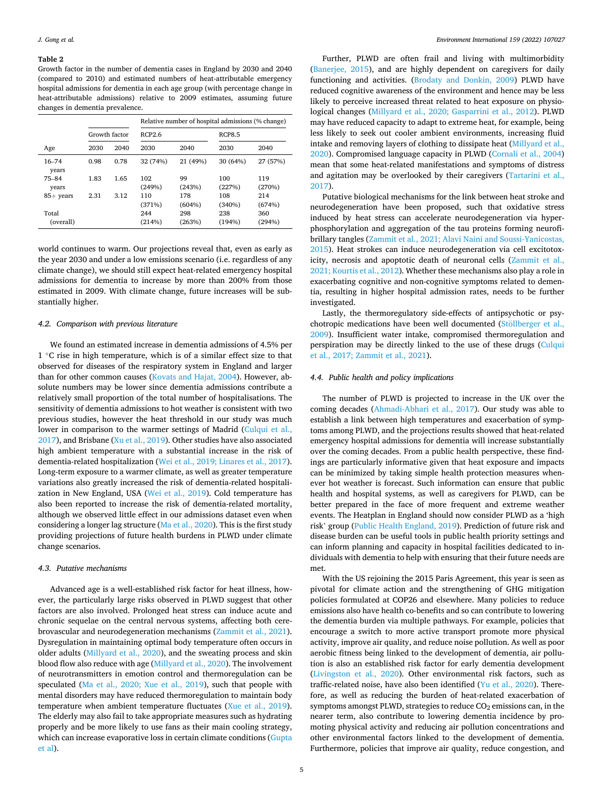#### <span id="page-4-0"></span>**Table 2**

Growth factor in the number of dementia cases in England by 2030 and 2040 (compared to 2010) and estimated numbers of heat-attributable emergency hospital admissions for dementia in each age group (with percentage change in heat-attributable admissions) relative to 2009 estimates, assuming future changes in dementia prevalence.

|                    |               |      | Relative number of hospital admissions (% change) |               |               |               |  |
|--------------------|---------------|------|---------------------------------------------------|---------------|---------------|---------------|--|
|                    | Growth factor |      | RCP2.6                                            |               | <b>RCP8.5</b> |               |  |
| Age                | 2030          | 2040 | 2030                                              | 2040          | 2030          | 2040          |  |
| $16 - 74$<br>years | 0.98          | 0.78 | 32 (74%)                                          | 21 (49%)      | 30 (64%)      | 27 (57%)      |  |
| $75 - 84$<br>years | 1.83          | 1.65 | 102<br>(249%)                                     | 99<br>(243%)  | 100<br>(227%) | 119<br>(270%) |  |
| $85+$ years        | 2.31          | 3.12 | 110<br>(371%)                                     | 178<br>(604%) | 108<br>(340%) | 214<br>(674%) |  |
| Total<br>(overall) |               |      | 244<br>(214%)                                     | 298<br>(263%) | 238<br>(194%) | 360<br>(294%) |  |

world continues to warm. Our projections reveal that, even as early as the year 2030 and under a low emissions scenario (i.e. regardless of any climate change), we should still expect heat-related emergency hospital admissions for dementia to increase by more than 200% from those estimated in 2009. With climate change, future increases will be substantially higher.

## *4.2. Comparison with previous literature*

We found an estimated increase in dementia admissions of 4.5% per 1 ◦C rise in high temperature, which is of a similar effect size to that observed for diseases of the respiratory system in England and larger than for other common causes [\(Kovats and Hajat, 2004\)](#page-6-0). However, absolute numbers may be lower since dementia admissions contribute a relatively small proportion of the total number of hospitalisations. The sensitivity of dementia admissions to hot weather is consistent with two previous studies, however the heat threshold in our study was much lower in comparison to the warmer settings of Madrid ([Culqui et al.,](#page-5-0)  [2017\)](#page-5-0), and Brisbane ([Xu et al., 2019](#page-6-0)). Other studies have also associated high ambient temperature with a substantial increase in the risk of dementia-related hospitalization ([Wei et al., 2019; Linares et al., 2017](#page-6-0)). Long-term exposure to a warmer climate, as well as greater temperature variations also greatly increased the risk of dementia-related hospitalization in New England, USA ([Wei et al., 2019\)](#page-6-0). Cold temperature has also been reported to increase the risk of dementia-related mortality, although we observed little effect in our admissions dataset even when considering a longer lag structure ([Ma et al., 2020](#page-6-0)). This is the first study providing projections of future health burdens in PLWD under climate change scenarios.

# *4.3. Putative mechanisms*

Advanced age is a well-established risk factor for heat illness, however, the particularly large risks observed in PLWD suggest that other factors are also involved. Prolonged heat stress can induce acute and chronic sequelae on the central nervous systems, affecting both cerebrovascular and neurodegeneration mechanisms ([Zammit et al., 2021](#page-6-0)). Dysregulation in maintaining optimal body temperature often occurs in older adults [\(Millyard et al., 2020\)](#page-6-0), and the sweating process and skin blood flow also reduce with age [\(Millyard et al., 2020\)](#page-6-0). The involvement of neurotransmitters in emotion control and thermoregulation can be speculated [\(Ma et al., 2020; Xue et al., 2019](#page-6-0)), such that people with mental disorders may have reduced thermoregulation to maintain body temperature when ambient temperature fluctuates [\(Xue et al., 2019](#page-6-0)). The elderly may also fail to take appropriate measures such as hydrating properly and be more likely to use fans as their main cooling strategy, which can increase evaporative loss in certain climate conditions [\(Gupta](#page-6-0)  [et al](#page-6-0)).

Further, PLWD are often frail and living with multimorbidity ([Banerjee, 2015](#page-5-0)), and are highly dependent on caregivers for daily functioning and activities. [\(Brodaty and Donkin, 2009\)](#page-5-0) PLWD have reduced cognitive awareness of the environment and hence may be less likely to perceive increased threat related to heat exposure on physiological changes [\(Millyard et al., 2020; Gasparrini et al., 2012\)](#page-6-0). PLWD may have reduced capacity to adapt to extreme heat, for example, being less likely to seek out cooler ambient environments, increasing fluid intake and removing layers of clothing to dissipate heat [\(Millyard et al.,](#page-6-0)  [2020\)](#page-6-0). Compromised language capacity in PLWD [\(Cornali et al., 2004\)](#page-5-0) mean that some heat-related manifestations and symptoms of distress and agitation may be overlooked by their caregivers ([Tartarini et al.,](#page-6-0)  [2017\)](#page-6-0).

Putative biological mechanisms for the link between heat stroke and neurodegeneration have been proposed, such that oxidative stress induced by heat stress can accelerate neurodegeneration via hyperphosphorylation and aggregation of the tau proteins forming neurofibrillary tangles ([Zammit et al., 2021; Alavi Naini and Soussi-Yanicostas,](#page-6-0)  [2015\)](#page-6-0). Heat strokes can induce neurodegeneration via cell excitotoxicity, necrosis and apoptotic death of neuronal cells [\(Zammit et al.,](#page-6-0)  [2021; Kourtis et al., 2012](#page-6-0)). Whether these mechanisms also play a role in exacerbating cognitive and non-cognitive symptoms related to dementia, resulting in higher hospital admission rates, needs to be further investigated.

Lastly, the thermoregulatory side-effects of antipsychotic or psychotropic medications have been well documented (Stöllberger et al., [2009\)](#page-6-0). Insufficient water intake, compromised thermoregulation and perspiration may be directly linked to the use of these drugs [\(Culqui](#page-5-0)  [et al., 2017; Zammit et al., 2021](#page-5-0)).

# *4.4. Public health and policy implications*

The number of PLWD is projected to increase in the UK over the coming decades ([Ahmadi-Abhari et al., 2017\)](#page-5-0). Our study was able to establish a link between high temperatures and exacerbation of symptoms among PLWD, and the projections results showed that heat-related emergency hospital admissions for dementia will increase substantially over the coming decades. From a public health perspective, these findings are particularly informative given that heat exposure and impacts can be minimized by taking simple health protection measures whenever hot weather is forecast. Such information can ensure that public health and hospital systems, as well as caregivers for PLWD, can be better prepared in the face of more frequent and extreme weather events. The Heatplan in England should now consider PLWD as a 'high risk' group [\(Public Health England, 2019](#page-6-0)). Prediction of future risk and disease burden can be useful tools in public health priority settings and can inform planning and capacity in hospital facilities dedicated to individuals with dementia to help with ensuring that their future needs are met.

With the US rejoining the 2015 Paris Agreement, this year is seen as pivotal for climate action and the strengthening of GHG mitigation policies formulated at COP26 and elsewhere. Many policies to reduce emissions also have health co-benefits and so can contribute to lowering the dementia burden via multiple pathways. For example, policies that encourage a switch to more active transport promote more physical activity, improve air quality, and reduce noise pollution. As well as poor aerobic fitness being linked to the development of dementia, air pollution is also an established risk factor for early dementia development ([Livingston et al., 2020](#page-6-0)). Other environmental risk factors, such as traffic-related noise, have also been identified ( $Yu$  et al., 2020). Therefore, as well as reducing the burden of heat-related exacerbation of symptoms amongst PLWD, strategies to reduce CO<sub>2</sub> emissions can, in the nearer term, also contribute to lowering dementia incidence by promoting physical activity and reducing air pollution concentrations and other environmental factors linked to the development of dementia. Furthermore, policies that improve air quality, reduce congestion, and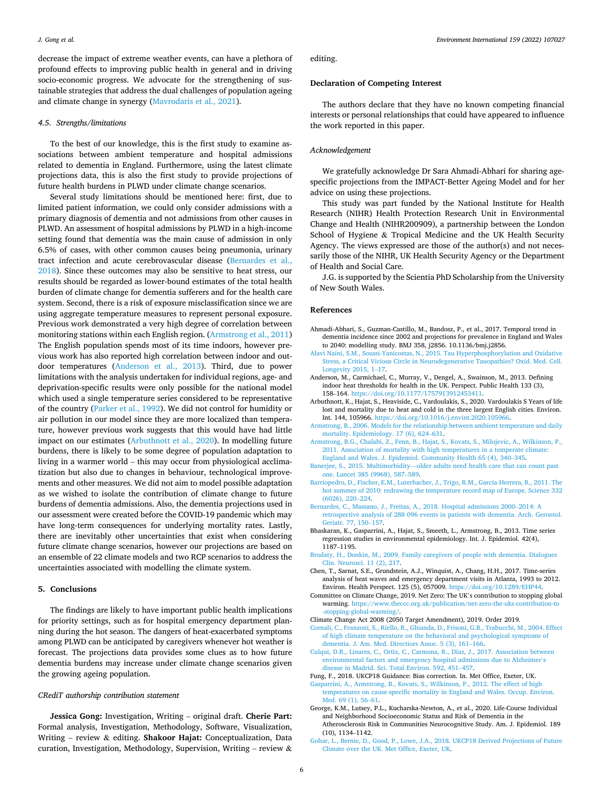<span id="page-5-0"></span>decrease the impact of extreme weather events, can have a plethora of profound effects to improving public health in general and in driving socio-economic progress. We advocate for the strengthening of sustainable strategies that address the dual challenges of population ageing and climate change in synergy ([Mavrodaris et al., 2021](#page-6-0)).

#### *4.5. Strengths/limitations*

To the best of our knowledge, this is the first study to examine associations between ambient temperature and hospital admissions related to dementia in England. Furthermore, using the latest climate projections data, this is also the first study to provide projections of future health burdens in PLWD under climate change scenarios.

Several study limitations should be mentioned here: first, due to limited patient information, we could only consider admissions with a primary diagnosis of dementia and not admissions from other causes in PLWD. An assessment of hospital admissions by PLWD in a high-income setting found that dementia was the main cause of admission in only 6.5% of cases, with other common causes being pneumonia, urinary tract infection and acute cerebrovascular disease (Bernardes et al., 2018). Since these outcomes may also be sensitive to heat stress, our results should be regarded as lower-bound estimates of the total health burden of climate change for dementia sufferers and for the health care system. Second, there is a risk of exposure misclassification since we are using aggregate temperature measures to represent personal exposure. Previous work demonstrated a very high degree of correlation between monitoring stations within each English region. (Armstrong et al., 2011) The English population spends most of its time indoors, however previous work has also reported high correlation between indoor and outdoor temperatures (Anderson et al., 2013). Third, due to power limitations with the analysis undertaken for individual regions, age- and deprivation-specific results were only possible for the national model which used a single temperature series considered to be representative of the country ([Parker et al., 1992](#page-6-0)). We did not control for humidity or air pollution in our model since they are more localized than temperature, however previous work suggests that this would have had little impact on our estimates (Arbuthnott et al., 2020). In modelling future burdens, there is likely to be some degree of population adaptation to living in a warmer world – this may occur from physiological acclimatization but also due to changes in behaviour, technological improvements and other measures. We did not aim to model possible adaptation as we wished to isolate the contribution of climate change to future burdens of dementia admissions. Also, the dementia projections used in our assessment were created before the COVID-19 pandemic which may have long-term consequences for underlying mortality rates. Lastly, there are inevitably other uncertainties that exist when considering future climate change scenarios, however our projections are based on an ensemble of 22 climate models and two RCP scenarios to address the uncertainties associated with modelling the climate system.

## **5. Conclusions**

The findings are likely to have important public health implications for priority settings, such as for hospital emergency department planning during the hot season. The dangers of heat-exacerbated symptoms among PLWD can be anticipated by caregivers whenever hot weather is forecast. The projections data provides some clues as to how future dementia burdens may increase under climate change scenarios given the growing ageing population.

## *CRediT authorship contribution statement*

**Jessica Gong:** Investigation, Writing – original draft. **Cherie Part:**  Formal analysis, Investigation, Methodology, Software, Visualization, Writing – review & editing. **Shakoor Hajat:** Conceptualization, Data curation, Investigation, Methodology, Supervision, Writing – review  $\&$  editing.

#### **Declaration of Competing Interest**

The authors declare that they have no known competing financial interests or personal relationships that could have appeared to influence the work reported in this paper.

## *Acknowledgement*

We gratefully acknowledge Dr Sara Ahmadi-Abhari for sharing agespecific projections from the IMPACT-Better Ageing Model and for her advice on using these projections.

This study was part funded by the National Institute for Health Research (NIHR) Health Protection Research Unit in Environmental Change and Health (NIHR200909), a partnership between the London School of Hygiene & Tropical Medicine and the UK Health Security Agency. The views expressed are those of the author(s) and not necessarily those of the NIHR, UK Health Security Agency or the Department of Health and Social Care.

J.G. is supported by the Scientia PhD Scholarship from the University of New South Wales.

## **References**

- Ahmadi-Abhari, S., Guzman-Castillo, M., Bandosz, P., et al., 2017. Temporal trend in dementia incidence since 2002 and projections for prevalence in England and Wales to 2040: modelling study. BMJ 358, j2856. 10.1136/bmj.j2856.
- [Alavi Naini, S.M., Soussi-Yanicostas, N., 2015. Tau Hyperphosphorylation and Oxidative](http://refhub.elsevier.com/S0160-4120(21)00652-8/h0010)  [Stress, a Critical Vicious Circle in Neurodegenerative Tauopathies? Oxid. Med. Cell.](http://refhub.elsevier.com/S0160-4120(21)00652-8/h0010)  [Longevity 2015, 1](http://refhub.elsevier.com/S0160-4120(21)00652-8/h0010)–17.
- Anderson, M., Carmichael, C., Murray, V., Dengel, A., Swainson, M., 2013. Defining indoor heat thresholds for health in the UK. Perspect. Public Health 133 (3), 158–164. <https://doi.org/10.1177/1757913912453411>.
- Arbuthnott, K., Hajat, S., Heaviside, C., Vardoulakis, S., 2020. Vardoulakis S Years of life lost and mortality due to heat and cold in the three largest English cities. Environ. Int. 144, 105966.<https://doi.org/10.1016/j.envint.2020.105966>.
- [Armstrong, B., 2006. Models for the relationship between ambient temperature and daily](http://refhub.elsevier.com/S0160-4120(21)00652-8/h0025)  [mortality. Epidemiology. 17 \(6\), 624](http://refhub.elsevier.com/S0160-4120(21)00652-8/h0025)–631.
- [Armstrong, B.G., Chalabi, Z., Fenn, B., Hajat, S., Kovats, S., Milojevic, A., Wilkinson, P.,](http://refhub.elsevier.com/S0160-4120(21)00652-8/h0030)  [2011. Association of mortality with high temperatures in a temperate climate:](http://refhub.elsevier.com/S0160-4120(21)00652-8/h0030) [England and Wales. J. Epidemiol. Community Health 65 \(4\), 340](http://refhub.elsevier.com/S0160-4120(21)00652-8/h0030)–345.
- Banerjee, S., 2015. Multimorbidity—[older adults need health care that can count past](http://refhub.elsevier.com/S0160-4120(21)00652-8/h0035)  [one. Lancet 385 \(9968\), 587](http://refhub.elsevier.com/S0160-4120(21)00652-8/h0035)–589.
- [Barriopedro, D., Fischer, E.M., Luterbacher, J., Trigo, R.M., García-Herrera, R., 2011. The](http://refhub.elsevier.com/S0160-4120(21)00652-8/h0040)  [hot summer of 2010: redrawing the temperature record map of Europe. Science 332](http://refhub.elsevier.com/S0160-4120(21)00652-8/h0040)  [\(6026\), 220](http://refhub.elsevier.com/S0160-4120(21)00652-8/h0040)–224.
- [Bernardes, C., Massano, J., Freitas, A., 2018. Hospital admissions 2000](http://refhub.elsevier.com/S0160-4120(21)00652-8/h0045)–2014: A [retrospective analysis of 288 096 events in patients with dementia. Arch. Gerontol.](http://refhub.elsevier.com/S0160-4120(21)00652-8/h0045)  [Geriatr. 77, 150](http://refhub.elsevier.com/S0160-4120(21)00652-8/h0045)–157.
- Bhaskaran, K., Gasparrini, A., Hajat, S., Smeeth, L., Armstrong, B., 2013. Time series regression studies in environmental epidemiology. Int. J. Epidemiol. 42(4), 1187–1195.
- [Brodaty, H., Donkin, M., 2009. Family caregivers of people with dementia. Dialogues](http://refhub.elsevier.com/S0160-4120(21)00652-8/h0055) [Clin. Neurosci. 11 \(2\), 217.](http://refhub.elsevier.com/S0160-4120(21)00652-8/h0055)
- Chen, T., Sarnat, S.E., Grundstein, A.J., Winquist, A., Chang, H.H., 2017. Time-series analysis of heat waves and emergency department visits in Atlanta, 1993 to 2012. Environ. Health Perspect. 125 (5), 057009. [https://doi.org/10.1289/EHP44.](https://doi.org/10.1289/EHP44)
- Committee on Climate Change, 2019. Net Zero: The UK's contribution to stopping global warming. [https://www.theccc.org.uk/publication/net-zero-the-uks-contribution-to](https://www.theccc.org.uk/publication/net-zero-the-uks-contribution-to-stopping-global-warming/)  [-stopping-global-warming/](https://www.theccc.org.uk/publication/net-zero-the-uks-contribution-to-stopping-global-warming/).
- Climate Change Act 2008 (2050 Target Amendment), 2019. Order 2019.
- [Cornali, C., Franzoni, S., Riello, R., Ghianda, D., Frisoni, G.B., Trabucchi, M., 2004. Effect](http://refhub.elsevier.com/S0160-4120(21)00652-8/h0075)  [of high climate temperature on the behavioral and psychological symptoms of](http://refhub.elsevier.com/S0160-4120(21)00652-8/h0075) [dementia. J. Am. Med. Directiors Assoc. 5 \(3\), 161](http://refhub.elsevier.com/S0160-4120(21)00652-8/h0075)–166.
- [Culqui, D.R., Linares, C., Ortiz, C., Carmona, R., Díaz, J., 2017. Association between](http://refhub.elsevier.com/S0160-4120(21)00652-8/h0080)  [environmental factors and emergency hospital admissions due to Alzheimer](http://refhub.elsevier.com/S0160-4120(21)00652-8/h0080)'s [disease in Madrid. Sci. Total Environ. 592, 451](http://refhub.elsevier.com/S0160-4120(21)00652-8/h0080)–457.
- Fung, F., 2018. UKCP18 Guidance: Bias correction. In. Met Office, Exeter, UK. sparrini, A., Armstrong, B., Kovats, S., Wilkinson, P., 2012. The effect of high [temperatures on cause-specific mortality in England and Wales. Occup. Environ.](http://refhub.elsevier.com/S0160-4120(21)00652-8/h0090)  [Med. 69 \(1\), 56](http://refhub.elsevier.com/S0160-4120(21)00652-8/h0090)–61.
- George, K.M., Lutsey, P.L., Kucharska-Newton, A., et al., 2020. Life-Course Individual and Neighborhood Socioeconomic Status and Risk of Dementia in the Atherosclerosis Risk in Communities Neurocognitive Study. Am. J. Epidemiol. 189 (10), 1134–1142.
- [Gohar, L., Bernie, D., Good, P., Lowe, J.A., 2018. UKCP18 Derived Projections of Future](http://refhub.elsevier.com/S0160-4120(21)00652-8/h0100)  [Climate over the UK. Met Office, Exeter, UK.](http://refhub.elsevier.com/S0160-4120(21)00652-8/h0100)